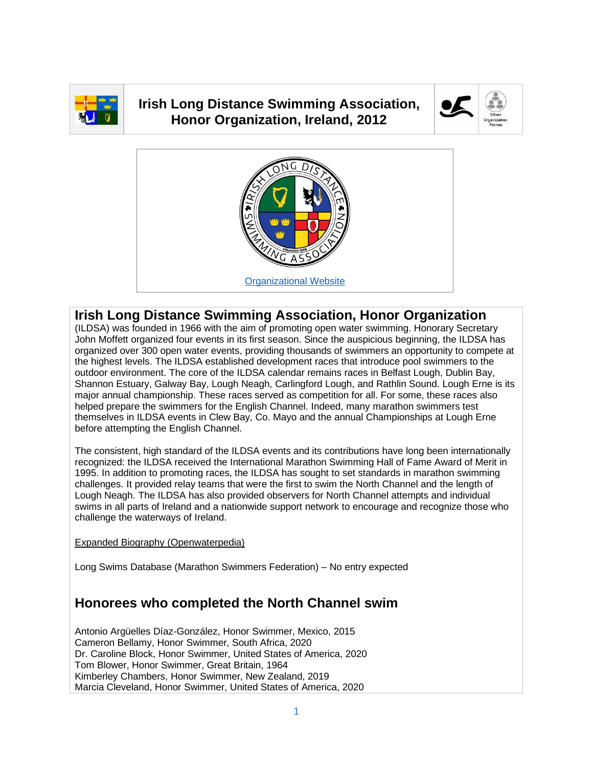

## **Irish Long Distance Swimming Association, Honor Organization, Ireland, 2012**





## **Irish Long Distance Swimming Association, Honor Organization**

(ILDSA) was founded in 1966 with the aim of promoting open water swimming. Honorary Secretary John Moffett organized four events in its first season. Since the auspicious beginning, the ILDSA has organized over 300 open water events, providing thousands of swimmers an opportunity to compete at the highest levels. The ILDSA established development races that introduce pool swimmers to the outdoor environment. The core of the ILDSA calendar remains races in Belfast Lough, Dublin Bay, Shannon Estuary, Galway Bay, Lough Neagh, Carlingford Lough, and Rathlin Sound. Lough Erne is its major annual championship. These races served as competition for all. For some, these races also helped prepare the swimmers for the English Channel. Indeed, many marathon swimmers test themselves in ILDSA events in Clew Bay, Co. Mayo and the annual Championships at Lough Erne before attempting the English Channel.

The consistent, high standard of the ILDSA events and its contributions have long been internationally recognized: the ILDSA received the International Marathon Swimming Hall of Fame Award of Merit in 1995. In addition to promoting races, the ILDSA has sought to set standards in marathon swimming challenges. It provided relay teams that were the first to swim the North Channel and the length of Lough Neagh. The ILDSA has also provided observers for North Channel attempts and individual swims in all parts of Ireland and a nationwide support network to encourage and recognize those who challenge the waterways of Ireland.

[Expanded Biography](https://www.openwaterpedia.com/index.php?title=Irish_Long_Distance_Swimming_Association) (Openwaterpedia)

Long Swims Database (Marathon Swimmers Federation) – No entry expected

## **Honorees who completed the North Channel swim**

Antonio Argüelles Díaz-González, Honor Swimmer, Mexico, 2015 Cameron Bellamy, Honor Swimmer, South Africa, 2020 Dr. Caroline Block, Honor Swimmer, United States of America, 2020 Tom Blower, Honor Swimmer, Great Britain, 1964 Kimberley Chambers, Honor Swimmer, New Zealand, 2019 Marcia Cleveland, Honor Swimmer, United States of America, 2020